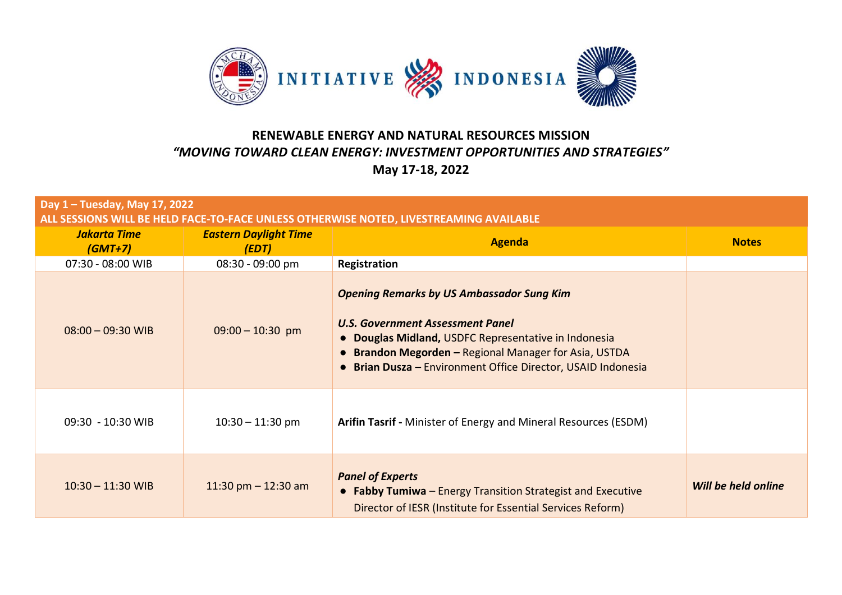

| Day 1 - Tuesday, May 17, 2022<br>ALL SESSIONS WILL BE HELD FACE-TO-FACE UNLESS OTHERWISE NOTED, LIVESTREAMING AVAILABLE |                                       |                                                                                                                                                                                                                                                                            |                     |  |  |
|-------------------------------------------------------------------------------------------------------------------------|---------------------------------------|----------------------------------------------------------------------------------------------------------------------------------------------------------------------------------------------------------------------------------------------------------------------------|---------------------|--|--|
| Jakarta Time<br>$(GMT+7)$                                                                                               | <b>Eastern Daylight Time</b><br>(EDT) | <b>Agenda</b>                                                                                                                                                                                                                                                              | <b>Notes</b>        |  |  |
| 07:30 - 08:00 WIB                                                                                                       | 08:30 - 09:00 pm                      | Registration                                                                                                                                                                                                                                                               |                     |  |  |
| $08:00 - 09:30$ WIB                                                                                                     | $09:00 - 10:30$ pm                    | <b>Opening Remarks by US Ambassador Sung Kim</b><br>U.S. Government Assessment Panel<br><b>Douglas Midland, USDFC Representative in Indonesia</b><br>• Brandon Megorden - Regional Manager for Asia, USTDA<br>• Brian Dusza - Environment Office Director, USAID Indonesia |                     |  |  |
| 09:30 - 10:30 WIB                                                                                                       | $10:30 - 11:30$ pm                    | Arifin Tasrif - Minister of Energy and Mineral Resources (ESDM)                                                                                                                                                                                                            |                     |  |  |
| $10:30 - 11:30$ WIB                                                                                                     | 11:30 pm $-$ 12:30 am                 | <b>Panel of Experts</b><br>• Fabby Tumiwa - Energy Transition Strategist and Executive<br>Director of IESR (Institute for Essential Services Reform)                                                                                                                       | Will be held online |  |  |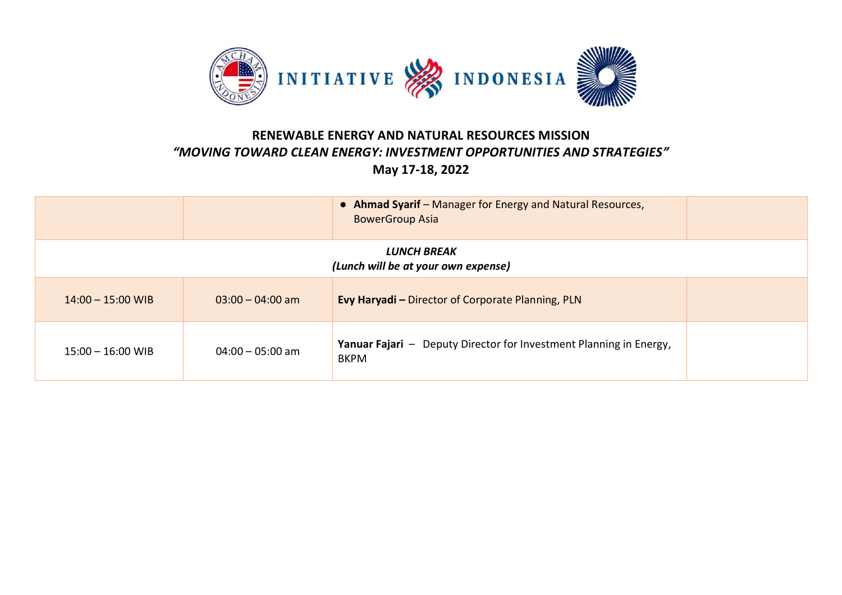

|                                                    |                    | • Ahmad Syarif - Manager for Energy and Natural Resources,<br><b>BowerGroup Asia</b>     |  |  |
|----------------------------------------------------|--------------------|------------------------------------------------------------------------------------------|--|--|
| LUNCH BREAK<br>(Lunch will be at your own expense) |                    |                                                                                          |  |  |
| $14:00 - 15:00$ WIB                                | $03:00 - 04:00$ am | <b>Evy Haryadi</b> - Director of Corporate Planning, PLN                                 |  |  |
| $15:00 - 16:00$ WIB                                | $04:00 - 05:00$ am | <b>Yanuar Fajari</b> - Deputy Director for Investment Planning in Energy,<br><b>BKPM</b> |  |  |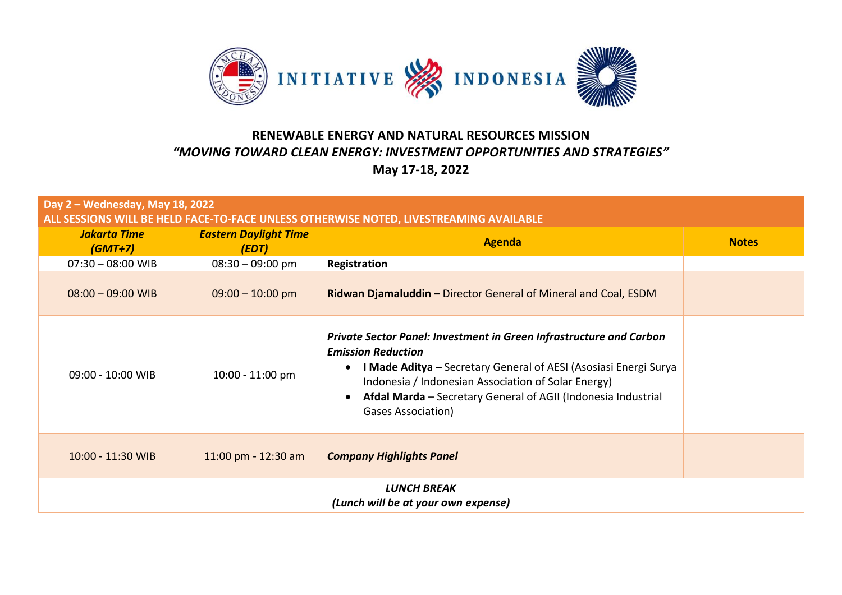

| Day 2 - Wednesday, May 18, 2022<br>ALL SESSIONS WILL BE HELD FACE-TO-FACE UNLESS OTHERWISE NOTED, LIVESTREAMING AVAILABLE |                                       |                                                                                                                                                                                                                                                                                                                    |              |  |  |  |
|---------------------------------------------------------------------------------------------------------------------------|---------------------------------------|--------------------------------------------------------------------------------------------------------------------------------------------------------------------------------------------------------------------------------------------------------------------------------------------------------------------|--------------|--|--|--|
| <b>Jakarta Time</b><br>$(GMT+7)$                                                                                          | <b>Eastern Daylight Time</b><br>(EDT) | <b>Agenda</b>                                                                                                                                                                                                                                                                                                      | <b>Notes</b> |  |  |  |
| $07:30 - 08:00$ WIB                                                                                                       | $08:30 - 09:00$ pm                    | Registration                                                                                                                                                                                                                                                                                                       |              |  |  |  |
| $08:00 - 09:00$ WIB                                                                                                       | $09:00 - 10:00$ pm                    | Ridwan Djamaluddin - Director General of Mineral and Coal, ESDM                                                                                                                                                                                                                                                    |              |  |  |  |
| 09:00 - 10:00 WIB                                                                                                         | 10:00 - 11:00 pm                      | Private Sector Panel: Investment in Green Infrastructure and Carbon<br><b>Emission Reduction</b><br>I Made Aditya - Secretary General of AESI (Asosiasi Energi Surya<br>Indonesia / Indonesian Association of Solar Energy)<br>Afdal Marda - Secretary General of AGII (Indonesia Industrial<br>Gases Association) |              |  |  |  |
| 10:00 - 11:30 WIB                                                                                                         | 11:00 pm - 12:30 am                   | <b>Company Highlights Panel</b>                                                                                                                                                                                                                                                                                    |              |  |  |  |
| <b>LUNCH BREAK</b><br>(Lunch will be at your own expense)                                                                 |                                       |                                                                                                                                                                                                                                                                                                                    |              |  |  |  |